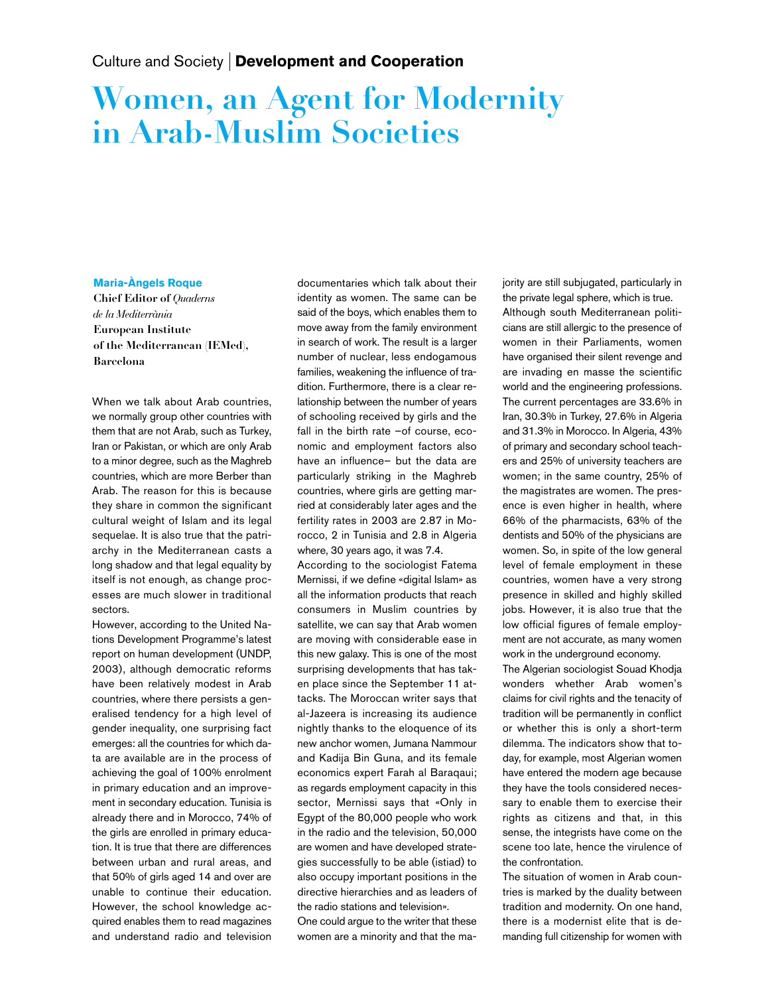## Women, an Agent for Modernity in Arab-Muslim Societies

## **Maria-Àngels Roque**

Chief Editor of Quaderns de la Mediterrània European Institute of the Mediterranean (IEMed), Barcelona

When we talk about Arab countries, we normally group other countries with them that are not Arab, such as Turkey, Iran or Pakistan, or which are only Arab to a minor degree, such as the Maghreb countries, which are more Berber than Arab. The reason for this is because they share in common the significant cultural weight of Islam and its legal sequelae. It is also true that the patriarchy in the Mediterranean casts a long shadow and that legal equality by itself is not enough, as change processes are much slower in traditional sectors.

However, according to the United Nations Development Programme's latest report on human development (UNDP, 2003), although democratic reforms have been relatively modest in Arab countries, where there persists a generalised tendency for a high level of gender inequality, one surprising fact emerges: all the countries for which data are available are in the process of achieving the goal of 100% enrolment in primary education and an improvement in secondary education. Tunisia is already there and in Morocco, 74% of the girls are enrolled in primary education. It is true that there are differences between urban and rural areas, and that 50% of girls aged 14 and over are unable to continue their education. However, the school knowledge acquired enables them to read magazines and understand radio and television

documentaries which talk about their identity as women. The same can be said of the boys, which enables them to move away from the family environment in search of work. The result is a larger number of nuclear, less endogamous families, weakening the influence of tradition. Furthermore, there is a clear relationship between the number of years of schooling received by girls and the fall in the birth rate -of course, economic and employment factors also have an influence– but the data are particularly striking in the Maghreb countries, where girls are getting married at considerably later ages and the fertility rates in 2003 are 2.87 in Morocco, 2 in Tunisia and 2.8 in Algeria where, 30 years ago, it was 7.4.

According to the sociologist Fatema Mernissi, if we define «digital Islam» as all the information products that reach consumers in Muslim countries by satellite, we can say that Arab women are moving with considerable ease in this new galaxy. This is one of the most surprising developments that has taken place since the September 11 attacks. The Moroccan writer says that al-Jazeera is increasing its audience nightly thanks to the eloquence of its new anchor women, Jumana Nammour and Kadija Bin Guna, and its female economics expert Farah al Baraqaui; as regards employment capacity in this sector, Mernissi says that «Only in Egypt of the 80,000 people who work in the radio and the television, 50,000 are women and have developed strategies successfully to be able (istiad) to also occupy important positions in the directive hierarchies and as leaders of the radio stations and television».

One could argue to the writer that these women are a minority and that the majority are still subjugated, particularly in the private legal sphere, which is true. Although south Mediterranean politicians are still allergic to the presence of women in their Parliaments, women have organised their silent revenge and are invading en masse the scientific world and the engineering professions. The current percentages are 33.6% in Iran, 30.3% in Turkey, 27.6% in Algeria and 31.3% in Morocco. In Algeria, 43% of primary and secondary school teachers and 25% of university teachers are women; in the same country, 25% of the magistrates are women. The presence is even higher in health, where 66% of the pharmacists, 63% of the dentists and 50% of the physicians are women. So, in spite of the low general level of female employment in these countries, women have a very strong presence in skilled and highly skilled jobs. However, it is also true that the low official figures of female employment are not accurate, as many women work in the underground economy.

The Algerian sociologist Souad Khodja wonders whether Arab women's claims for civil rights and the tenacity of tradition will be permanently in conflict or whether this is only a short-term dilemma. The indicators show that today, for example, most Algerian women have entered the modern age because they have the tools considered necessary to enable them to exercise their rights as citizens and that, in this sense, the integrists have come on the scene too late, hence the virulence of the confrontation.

The situation of women in Arab countries is marked by the duality between tradition and modernity. On one hand, there is a modernist elite that is demanding full citizenship for women with